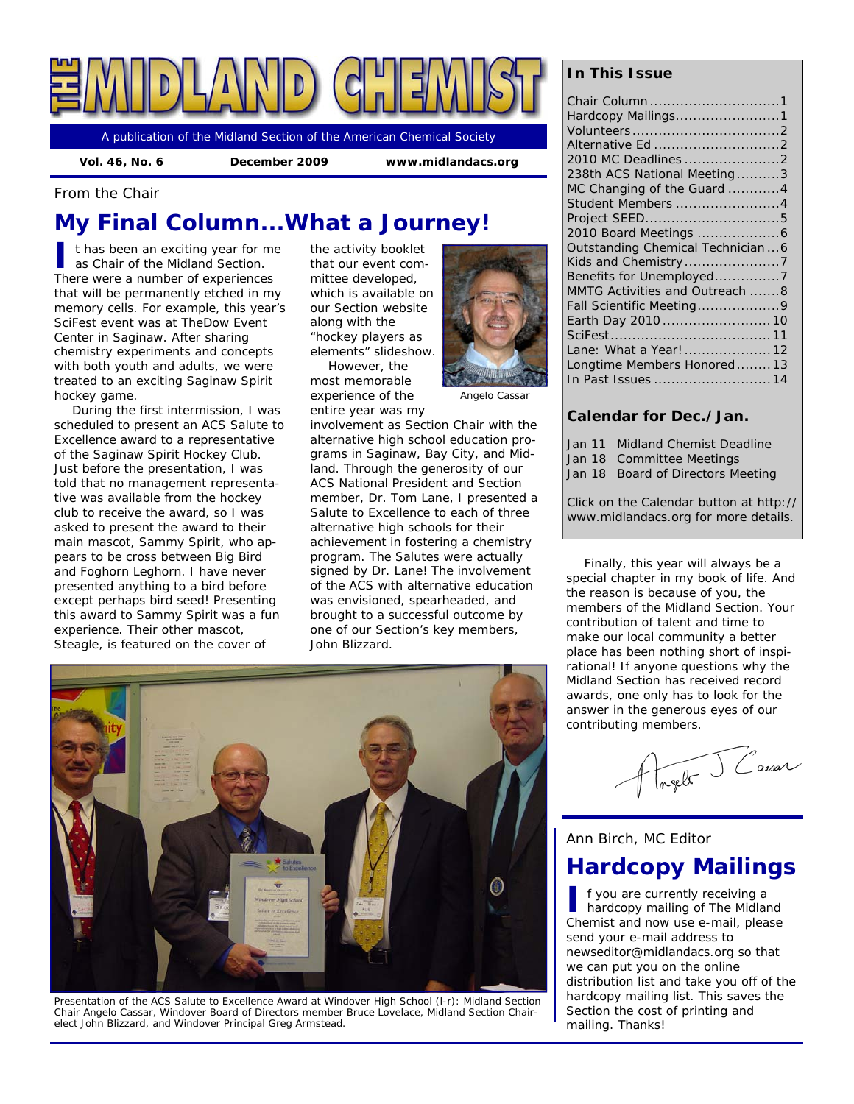

A publication of the Midland Section of the American Chemical Society

 **Vol. 46, No. 6 December 2009 www.midlandacs.org** 

*From the Chair* 

# **My Final Column...What a Journey!**

**I** t has been an exciting year for me as Chair of the Midland Section. There were a number of experiences that will be permanently etched in my memory cells. For example, this year's SciFest event was at TheDow Event Center in Saginaw. After sharing chemistry experiments and concepts with both youth and adults, we were treated to an exciting Saginaw Spirit hockey game.

During the first intermission, I was scheduled to present an ACS Salute to Excellence award to a representative of the Saginaw Spirit Hockey Club. Just before the presentation, I was told that no management representative was available from the hockey club to receive the award, so I was asked to present the award to their main mascot, Sammy Spirit, who appears to be cross between Big Bird and Foghorn Leghorn. I have never presented anything to a bird before except perhaps bird seed! Presenting this award to Sammy Spirit was a fun experience. Their other mascot, Steagle, is featured on the cover of

the activity booklet that our event committee developed, which is available on our Section website along with the "hockey players as elements" slideshow.

However, the most memorable experience of the entire year was my



*Angelo Cassar* 

involvement as Section Chair with the alternative high school education programs in Saginaw, Bay City, and Midland. Through the generosity of our ACS National President and Section member, Dr. Tom Lane, I presented a Salute to Excellence to each of three alternative high schools for their achievement in fostering a chemistry program. The Salutes were actually signed by Dr. Lane! The involvement of the ACS with alternative education was envisioned, spearheaded, and brought to a successful outcome by one of our Section's key members, John Blizzard.

### *In This Issue*

| Chair Column 1                     |
|------------------------------------|
| Hardcopy Mailings1                 |
|                                    |
| Alternative Ed 2                   |
| 2010 MC Deadlines 2                |
| 238th ACS National Meeting3        |
| MC Changing of the Guard 4         |
| Student Members 4                  |
|                                    |
|                                    |
| Outstanding Chemical Technician  6 |
|                                    |
| Benefits for Unemployed7           |
| MMTG Activities and Outreach 8     |
| Fall Scientific Meeting9           |
| Earth Day 2010  10                 |
|                                    |
| Lane: What a Year! 12              |
| Longtime Members Honored 13        |
|                                    |

### *Calendar for Dec./Jan.*

| Jan 11 Midland Chemist Deadline      |
|--------------------------------------|
| Jan 18 Committee Meetings            |
| Jan 18 Board of Directors Meeting    |
|                                      |
| Click on the Calendar button at http |

Click on the Calendar button at http:// www.midlandacs.org for more details.

Finally, this year will always be a special chapter in my book of life. And the reason is because of you, the members of the Midland Section. Your contribution of talent and time to make our local community a better place has been nothing short of inspirational! If anyone questions why the Midland Section has received record awards, one only has to look for the answer in the generous eyes of our contributing members.

relet Cassar

*Ann Birch, MC Editor* 

## **Hardcopy Mailings**

**I** f you are currently receiving a hardcopy mailing of *The Midland Chemist* and now use e-mail, please send your e-mail address to newseditor@midlandacs.org so that we can put you on the online distribution list and take you off of the hardcopy mailing list. This saves the Section the cost of printing and mailing. Thanks!



*Presentation of the ACS Salute to Excellence Award at Windover High School (l-r): Midland Section Chair Angelo Cassar, Windover Board of Directors member Bruce Lovelace, Midland Section Chairelect John Blizzard, and Windover Principal Greg Armstead.*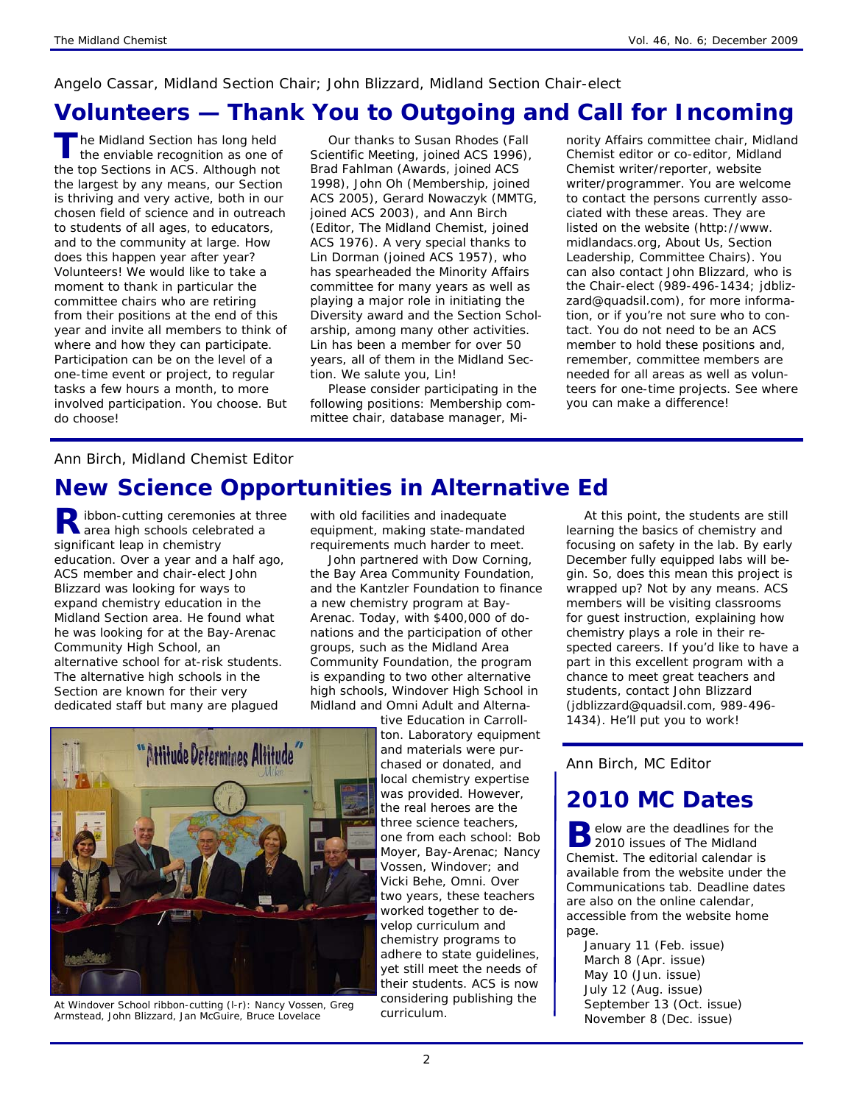## *Angelo Cassar, Midland Section Chair; John Blizzard, Midland Section Chair-elect*

## **Volunteers — Thank You to Outgoing and Call for Incoming**

**The Midland Section has long held** the enviable recognition as one of the top Sections in ACS. Although not the largest by any means, our Section is thriving and very active, both in our chosen field of science and in outreach to students of all ages, to educators, and to the community at large. How does this happen year after year? Volunteers! We would like to take a moment to thank in particular the committee chairs who are retiring from their positions at the end of this year and invite all members to think of where and how they can participate. Participation can be on the level of a one-time event or project, to regular tasks a few hours a month, to more involved participation. You choose. But do choose!

Our thanks to Susan Rhodes (Fall Scientific Meeting, joined ACS 1996), Brad Fahlman (Awards, joined ACS 1998), John Oh (Membership, joined ACS 2005), Gerard Nowaczyk (MMTG, joined ACS 2003), and Ann Birch (Editor, *The Midland Chemist*, joined ACS 1976). A very special thanks to Lin Dorman (joined ACS 1957), who has spearheaded the Minority Affairs committee for many years as well as playing a major role in initiating the Diversity award and the Section Scholarship, among many other activities. Lin has been a member for over 50 years, all of them in the Midland Section. We salute you, Lin!

Please consider participating in the following positions: Membership committee chair, database manager, Minority Affairs committee chair, Midland Chemist editor or co-editor, Midland Chemist writer/reporter, website writer/programmer. You are welcome to contact the persons currently associated with these areas. They are listed on the website (http://www. midlandacs.org, About Us, Section Leadership, Committee Chairs). You can also contact John Blizzard, who is the Chair-elect (989-496-1434; jdblizzard@quadsil.com), for more information, or if you're not sure who to contact. You do not need to be an ACS member to hold these positions and, remember, committee members are needed for all areas as well as volunteers for one-time projects. See where you can make a difference!

### *Ann Birch, Midland Chemist Editor*

# **New Science Opportunities in Alternative Ed**

**R** ibbon-cutting ceremonies at three<br> **R** area high schools celebrated a significant leap in chemistry education. Over a year and a half ago, ACS member and chair-elect John Blizzard was looking for ways to expand chemistry education in the Midland Section area. He found what he was looking for at the Bay-Arenac Community High School, an alternative school for at-risk students. The alternative high schools in the Section are known for their very dedicated staff but many are plagued

with old facilities and inadequate equipment, making state-mandated requirements much harder to meet.

John partnered with Dow Corning, the Bay Area Community Foundation, and the Kantzler Foundation to finance a new chemistry program at Bay-Arenac. Today, with \$400,000 of donations and the participation of other groups, such as the Midland Area Community Foundation, the program is expanding to two other alternative high schools, Windover High School in Midland and Omni Adult and Alterna-

> tive Education in Carrollton. Laboratory equipment

and materials were purchased or donated, and local chemistry expertise was provided. However, the real heroes are the three science teachers, one from each school: Bob Moyer, Bay-Arenac; Nancy Vossen, Windover; and Vicki Behe, Omni. Over two years, these teachers worked together to develop curriculum and chemistry programs to adhere to state guidelines, yet still meet the needs of their students. ACS is now considering publishing the curriculum.

At this point, the students are still learning the basics of chemistry and focusing on safety in the lab. By early December fully equipped labs will begin. So, does this mean this project is wrapped up? Not by any means. ACS members will be visiting classrooms for guest instruction, explaining how chemistry plays a role in their respected careers. If you'd like to have a part in this excellent program with a chance to meet great teachers and students, contact John Blizzard (jdblizzard@quadsil.com, 989-496- 1434). He'll put you to work!

*Ann Birch, MC Editor* 

# **2010** *MC* **Dates**

**B** elow are the deadlines for the 2010 issues of *The Midland Chemist*. The editorial calendar is available from the website under the Communications tab. Deadline dates are also on the online calendar, accessible from the website home page.

January 11 (Feb. issue) March 8 (Apr. issue) May 10 (Jun. issue) July 12 (Aug. issue) September 13 (Oct. issue) November 8 (Dec. issue)



*At Windover School ribbon-cutting (l-r): Nancy Vossen, Greg Armstead, John Blizzard, Jan McGuire, Bruce Lovelace*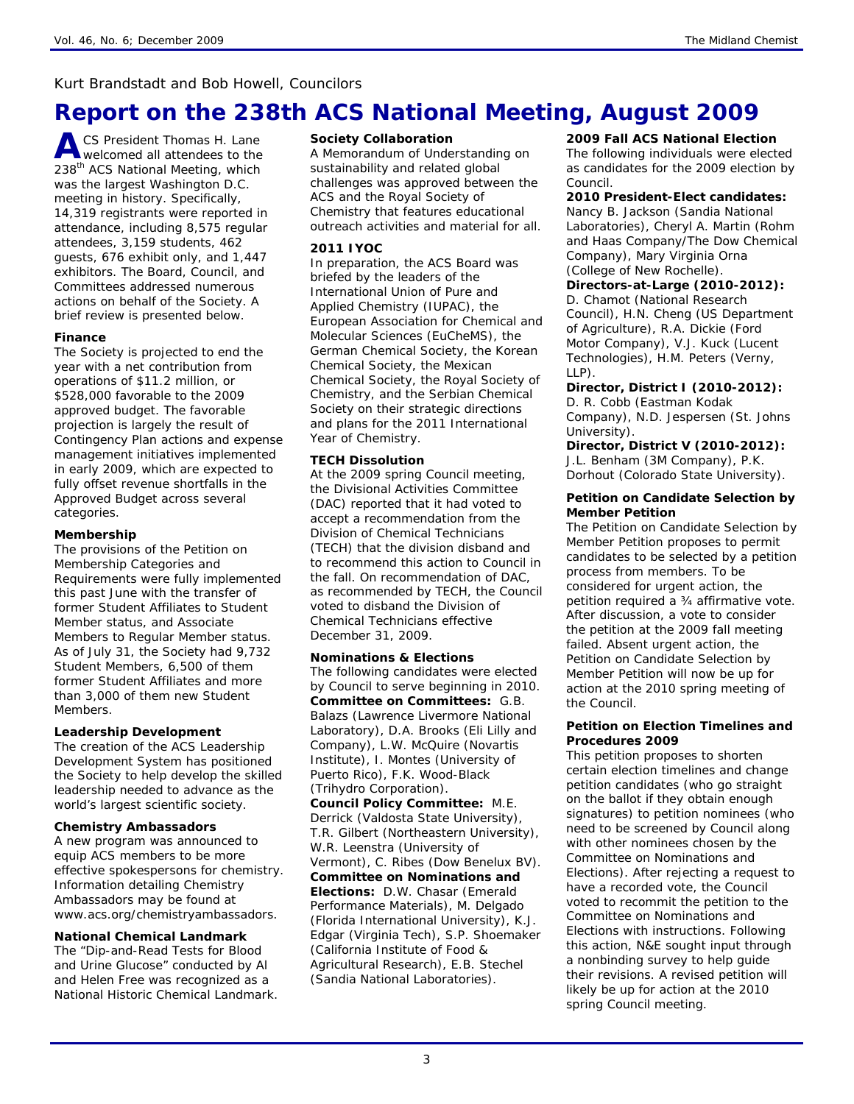## *Kurt Brandstadt and Bob Howell, Councilors*

# **Report on the 238th ACS National Meeting, August 2009**

**A** CS President Thomas H. Lane welcomed all attendees to the 238<sup>th</sup> ACS National Meeting, which was the largest Washington D.C. meeting in history. Specifically, 14,319 registrants were reported in attendance, including 8,575 regular attendees, 3,159 students, 462 guests, 676 exhibit only, and 1,447 exhibitors. The Board, Council, and Committees addressed numerous actions on behalf of the Society. A brief review is presented below.

### **Finance**

The Society is projected to end the year with a net contribution from operations of \$11.2 million, or \$528,000 favorable to the 2009 approved budget. The favorable projection is largely the result of Contingency Plan actions and expense management initiatives implemented in early 2009, which are expected to fully offset revenue shortfalls in the Approved Budget across several categories.

### **Membership**

The provisions of the Petition on Membership Categories and Requirements were fully implemented this past June with the transfer of former Student Affiliates to Student Member status, and Associate Members to Regular Member status. As of July 31, the Society had 9,732 Student Members, 6,500 of them former Student Affiliates and more than 3,000 of them new Student Members.

### **Leadership Development**

The creation of the ACS Leadership Development System has positioned the Society to help develop the skilled leadership needed to advance as the world's largest scientific society.

### **Chemistry Ambassadors**

A new program was announced to equip ACS members to be more effective spokespersons for chemistry. Information detailing Chemistry Ambassadors may be found at www.acs.org/chemistryambassadors.

### **National Chemical Landmark**

The "Dip-and-Read Tests for Blood and Urine Glucose" conducted by Al and Helen Free was recognized as a National Historic Chemical Landmark.

### **Society Collaboration**

A Memorandum of Understanding on sustainability and related global challenges was approved between the ACS and the Royal Society of Chemistry that features educational outreach activities and material for all.

### **2011 IYOC**

In preparation, the ACS Board was briefed by the leaders of the International Union of Pure and Applied Chemistry (IUPAC), the European Association for Chemical and Molecular Sciences (EuCheMS), the German Chemical Society, the Korean Chemical Society, the Mexican Chemical Society, the Royal Society of Chemistry, and the Serbian Chemical Society on their strategic directions and plans for the 2011 International Year of Chemistry.

### **TECH Dissolution**

At the 2009 spring Council meeting, the Divisional Activities Committee (DAC) reported that it had voted to accept a recommendation from the Division of Chemical Technicians (TECH) that the division disband and to recommend this action to Council in the fall. On recommendation of DAC, as recommended by TECH, the Council voted to disband the Division of Chemical Technicians effective December 31, 2009.

### **Nominations & Elections**

The following candidates were elected by Council to serve beginning in 2010. **Committee on Committees:** G.B. Balazs (Lawrence Livermore National Laboratory), D.A. Brooks (Eli Lilly and Company), L.W. McQuire (Novartis Institute), I. Montes (University of Puerto Rico), F.K. Wood-Black (Trihydro Corporation).

**Council Policy Committee:** M.E. Derrick (Valdosta State University), T.R. Gilbert (Northeastern University), W.R. Leenstra (University of Vermont), C. Ribes (Dow Benelux BV). **Committee on Nominations and Elections:** D.W. Chasar (Emerald Performance Materials), M. Delgado (Florida International University), K.J. Edgar (Virginia Tech), S.P. Shoemaker (California Institute of Food & Agricultural Research), E.B. Stechel (Sandia National Laboratories).

### **2009 Fall ACS National Election**

The following individuals were elected as candidates for the 2009 election by Council.

### **2010 President-Elect candidates:**

Nancy B. Jackson (Sandia National Laboratories), Cheryl A. Martin (Rohm and Haas Company/The Dow Chemical Company), Mary Virginia Orna (College of New Rochelle).

#### **Directors-at-Large (2010-2012):** D. Chamot (National Research Council), H.N. Cheng (US Department of Agriculture), R.A. Dickie (Ford Motor Company), V.J. Kuck (Lucent Technologies), H.M. Peters (Verny,  $1$ IP).

**Director, District I (2010-2012):** 

D. R. Cobb (Eastman Kodak Company), N.D. Jespersen (St. Johns University).

#### **Director, District V (2010-2012):**  J.L. Benham (3M Company), P.K. Dorhout (Colorado State University).

### **Petition on Candidate Selection by Member Petition**

The Petition on Candidate Selection by Member Petition proposes to permit candidates to be selected by a petition process from members. To be considered for urgent action, the petition required a ¾ affirmative vote. After discussion, a vote to consider the petition at the 2009 fall meeting failed. Absent urgent action, the Petition on Candidate Selection by Member Petition will now be up for action at the 2010 spring meeting of the Council.

### **Petition on Election Timelines and Procedures 2009**

This petition proposes to shorten certain election timelines and change petition candidates (who go straight on the ballot if they obtain enough signatures) to petition nominees (who need to be screened by Council along with other nominees chosen by the Committee on Nominations and Elections). After rejecting a request to have a recorded vote, the Council voted to recommit the petition to the Committee on Nominations and Elections with instructions. Following this action, N&E sought input through a nonbinding survey to help guide their revisions. A revised petition will likely be up for action at the 2010 spring Council meeting.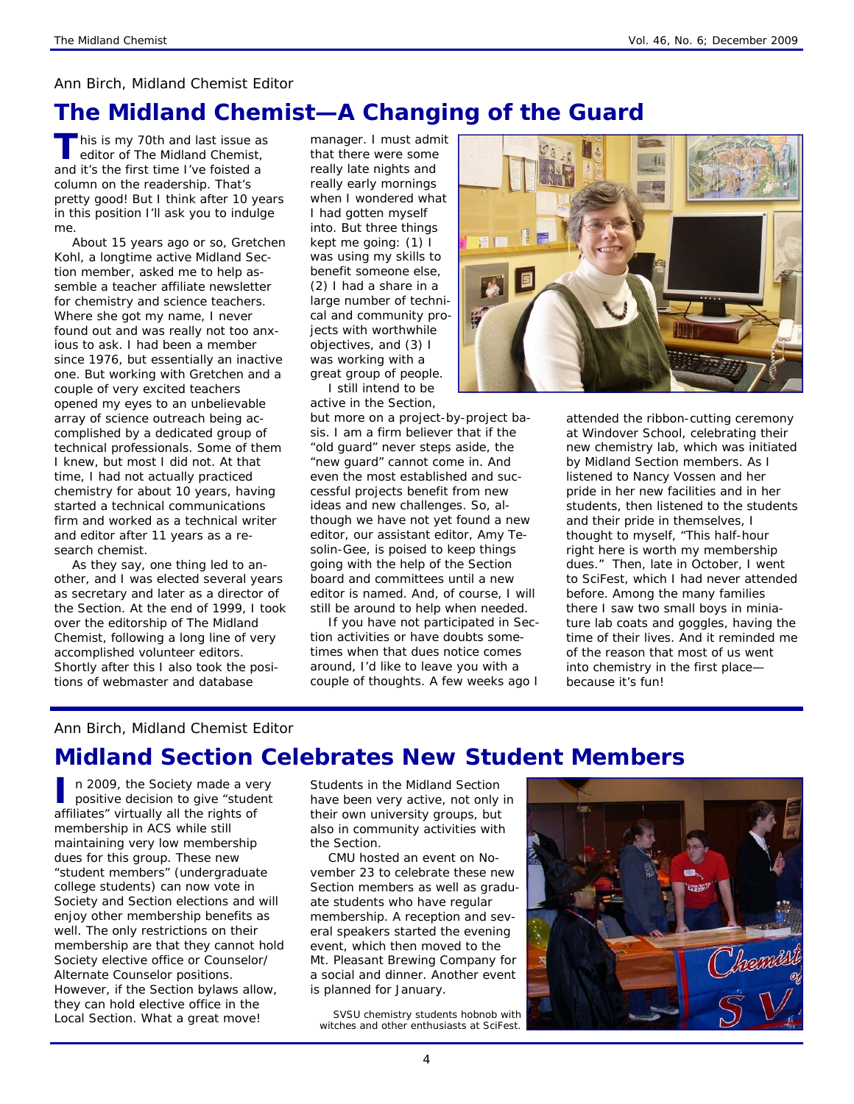### *Ann Birch, Midland Chemist Editor*

# *The Midland Chemist—***A Changing of the Guard**

**This is my 70th and last issue as** editor of *The Midland Chemist,* and it's the first time I've foisted a column on the readership. That's pretty good! But I think after 10 years in this position I'll ask you to indulge me.

About 15 years ago or so, Gretchen Kohl, a longtime active Midland Section member, asked me to help assemble a teacher affiliate newsletter for chemistry and science teachers. Where she got my name, I never found out and was really not too anxious to ask. I had been a member since 1976, but essentially an inactive one. But working with Gretchen and a couple of very excited teachers opened my eyes to an unbelievable array of science outreach being accomplished by a dedicated group of technical professionals. Some of them I knew, but most I did not. At that time, I had not actually practiced chemistry for about 10 years, having started a technical communications firm and worked as a technical writer and editor after 11 years as a research chemist.

As they say, one thing led to another, and I was elected several years as secretary and later as a director of the Section. At the end of 1999, I took over the editorship of *The Midland Chemist*, following a long line of very accomplished volunteer editors. Shortly after this I also took the positions of webmaster and database

manager. I must admit that there were some really late nights and really early mornings when I wondered what I had gotten myself into. But three things kept me going: (1) I was using my skills to benefit someone else, (2) I had a share in a large number of technical and community projects with worthwhile objectives, and (3) I was working with a great group of people. I still intend to be

active in the Section,

but more on a project-by-project basis. I am a firm believer that if the "old guard" never steps aside, the "new guard" cannot come in. And even the most established and successful projects benefit from new ideas and new challenges. So, although we have not yet found a new editor, our assistant editor, Amy Tesolin-Gee, is poised to keep things going with the help of the Section board and committees until a new editor is named. And, of course, I will still be around to help when needed.

If you have not participated in Section activities or have doubts sometimes when that dues notice comes around, I'd like to leave you with a couple of thoughts. A few weeks ago I



attended the ribbon-cutting ceremony at Windover School, celebrating their new chemistry lab, which was initiated by Midland Section members. As I listened to Nancy Vossen and her pride in her new facilities and in her students, then listened to the students and their pride in themselves, I thought to myself, "This half-hour right here is worth my membership dues." Then, late in October, I went to SciFest, which I had never attended before. Among the many families there I saw two small boys in miniature lab coats and goggles, having the time of their lives. And it reminded me of the reason that most of us went into chemistry in the first place *because it's fun!*

### *Ann Birch, Midland Chemist Editor*

# **Midland Section Celebrates New Student Members**

**I** n 2009, the Society made a very positive decision to give "student affiliates" virtually all the rights of membership in ACS while still maintaining very low membership dues for this group. These new "student members" (undergraduate college students) can now vote in Society and Section elections and will enjoy other membership benefits as well. The only restrictions on their membership are that they cannot hold Society elective office or Counselor/ Alternate Counselor positions. However, if the Section bylaws allow, they can hold elective office in the Local Section. What a great move!

Students in the Midland Section have been very active, not only in their own university groups, but also in community activities with the Section.

CMU hosted an event on November 23 to celebrate these new Section members as well as graduate students who have regular membership. A reception and several speakers started the evening event, which then moved to the Mt. Pleasant Brewing Company for a social and dinner. Another event is planned for January.

*SVSU chemistry students hobnob with witches and other enthusiasts at SciFest.* 

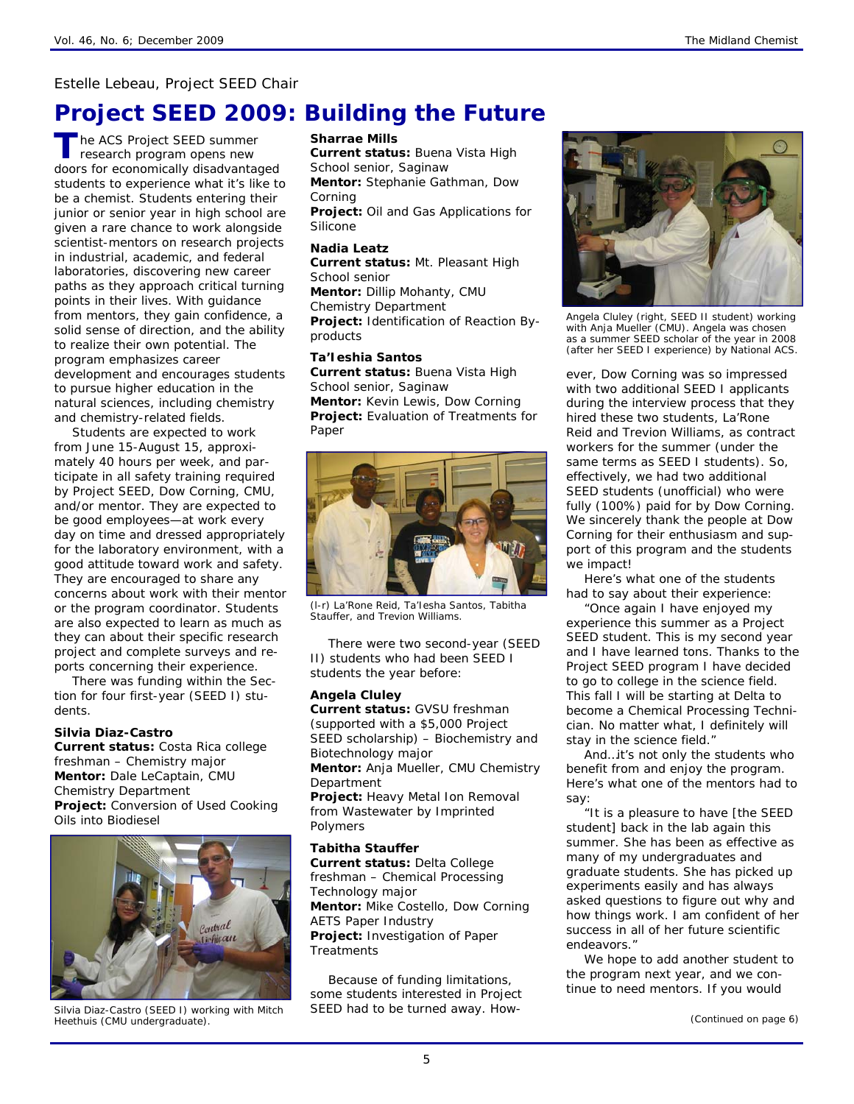### *Estelle Lebeau, Project SEED Chair*

## **Project SEED 2009: Building the Future**

**T** he ACS Project SEED summer research program opens new doors for economically disadvantaged students to experience what it's like to be a chemist. Students entering their junior or senior year in high school are given a rare chance to work alongside scientist-mentors on research projects in industrial, academic, and federal laboratories, discovering new career paths as they approach critical turning points in their lives. With guidance from mentors, they gain confidence, a solid sense of direction, and the ability to realize their own potential. The program emphasizes career development and encourages students to pursue higher education in the natural sciences, including chemistry and chemistry-related fields.

Students are expected to work from June 15-August 15, approximately 40 hours per week, and participate in all safety training required by Project SEED, Dow Corning, CMU, and/or mentor. They are expected to be good employees—at work every day on time and dressed appropriately for the laboratory environment, with a good attitude toward work and safety. They are encouraged to share any concerns about work with their mentor or the program coordinator. Students are also expected to learn as much as they can about their specific research project and complete surveys and reports concerning their experience.

There was funding within the Section for four first-year (SEED I) students.

#### **Silvia Diaz-Castro**

**Current status:** Costa Rica college freshman – Chemistry major **Mentor:** Dale LeCaptain, CMU Chemistry Department **Project:** Conversion of Used Cooking Oils into Biodiesel



*Silvia Diaz-Castro (SEED I) working with Mitch Heethuis (CMU undergraduate).* 

#### **Sharrae Mills**

**Current status:** Buena Vista High School senior, Saginaw **Mentor:** Stephanie Gathman, Dow Corning **Project:** Oil and Gas Applications for Silicone

#### **Nadia Leatz**

**Current status:** Mt. Pleasant High School senior **Mentor:** Dillip Mohanty, CMU Chemistry Department **Project:** Identification of Reaction Byproducts

#### **Ta'Ieshia Santos**

**Current status:** Buena Vista High School senior, Saginaw **Mentor:** Kevin Lewis, Dow Corning **Project:** Evaluation of Treatments for Paper



*(l-r) La'Rone Reid, Ta'Iesha Santos, Tabitha Stauffer, and Trevion Williams.* 

There were two second-year (SEED II) students who had been SEED I students the year before:

### **Angela Cluley**

**Current status:** GVSU freshman (supported with a \$5,000 Project SEED scholarship) – Biochemistry and Biotechnology major **Mentor:** Anja Mueller, CMU Chemistry Department **Project:** Heavy Metal Ion Removal from Wastewater by Imprinted Polymers **Tabitha Stauffer** 

**Current status:** Delta College freshman – Chemical Processing Technology major **Mentor:** Mike Costello, Dow Corning AETS Paper Industry **Project:** Investigation of Paper **Treatments** 

Because of funding limitations, some students interested in Project SEED had to be turned away. How-



*Angela Cluley (right, SEED II student) working with Anja Mueller (CMU). Angela was chosen as a summer SEED scholar of the year in 2008 (after her SEED I experience) by National ACS.* 

ever, Dow Corning was so impressed with two additional SEED I applicants during the interview process that they hired these two students, La'Rone Reid and Trevion Williams, as contract workers for the summer (under the same terms as SEED I students). So, effectively, we had two additional SEED students (unofficial) who were fully (100%) paid for by Dow Corning. We sincerely thank the people at Dow Corning for their enthusiasm and support of this program and the students we impact!

Here's what one of the students had to say about their experience:

"Once again I have enjoyed my experience this summer as a Project SEED student. This is my second year and I have learned tons. Thanks to the Project SEED program I have decided to go to college in the science field. This fall I will be starting at Delta to become a Chemical Processing Technician. No matter what, I definitely will stay in the science field."

And…it's not only the students who benefit from and enjoy the program. Here's what one of the mentors had to say:

"It is a pleasure to have [the SEED student] back in the lab again this summer. She has been as effective as many of my undergraduates and graduate students. She has picked up experiments easily and has always asked questions to figure out why and how things work. I am confident of her success in all of her future scientific endeavors."

We hope to add another student to the program next year, and we continue to need mentors. If you would

*(Continued on page 6)*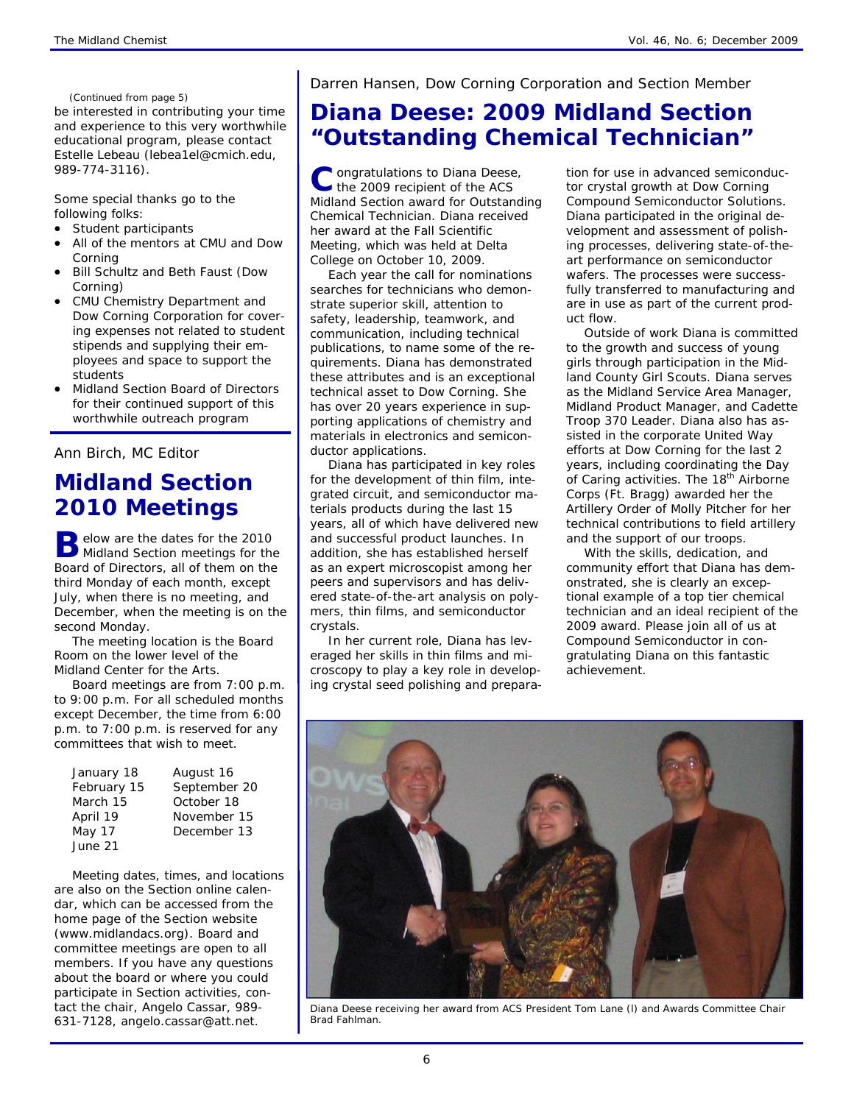#### *(Continued from page 5)*

be interested in contributing your time and experience to this very worthwhile educational program, please contact Estelle Lebeau (lebea1el@cmich.edu, 989-774-3116).

Some special thanks go to the following folks:

- Student participants
- All of the mentors at CMU and Dow Corning
- Bill Schultz and Beth Faust (Dow Corning)
- CMU Chemistry Department and Dow Corning Corporation for covering expenses not related to student stipends and supplying their employees and space to support the students
- Midland Section Board of Directors for their continued support of this worthwhile outreach program

### *Ann Birch, MC Editor*

## **Midland Section 2010 Meetings**

**B** elow are the dates for the 2010 Midland Section meetings for the Board of Directors, all of them on the third Monday of each month, except July, when there is no meeting, and December, when the meeting is on the second Monday.

The meeting location is the Board Room on the lower level of the Midland Center for the Arts.

Board meetings are from 7:00 p.m. to 9:00 p.m. For all scheduled months except December, the time from 6:00 p.m. to 7:00 p.m. is reserved for any committees that wish to meet.

| January 18  | August 16    |
|-------------|--------------|
| February 15 | September 20 |
| March 15    | October 18   |
| April 19    | November 15  |
| May 17      | December 13  |
| June 21     |              |

Meeting dates, times, and locations are also on the Section online calendar, which can be accessed from the home page of the Section website (www.midlandacs.org). Board and committee meetings are open to all members. If you have any questions about the board or where you could participate in Section activities, contact the chair, Angelo Cassar, 989- 631-7128, angelo.cassar@att.net.

### *Darren Hansen, Dow Corning Corporation and Section Member*

# **Diana Deese: 2009 Midland Section "Outstanding Chemical Technician"**

C ongratulations to Diana Deese,<br>
the 2009 recipient of the ACS Midland Section award for Outstanding Chemical Technician. Diana received her award at the Fall Scientific Meeting, which was held at Delta College on October 10, 2009.

Each year the call for nominations searches for technicians who demonstrate superior skill, attention to safety, leadership, teamwork, and communication, including technical publications, to name some of the requirements. Diana has demonstrated these attributes and is an exceptional technical asset to Dow Corning. She has over 20 years experience in supporting applications of chemistry and materials in electronics and semiconductor applications.

Diana has participated in key roles for the development of thin film, integrated circuit, and semiconductor materials products during the last 15 years, all of which have delivered new and successful product launches. In addition, she has established herself as an expert microscopist among her peers and supervisors and has delivered state-of-the-art analysis on polymers, thin films, and semiconductor crystals.

In her current role, Diana has leveraged her skills in thin films and microscopy to play a key role in developing crystal seed polishing and preparation for use in advanced semiconductor crystal growth at Dow Corning Compound Semiconductor Solutions. Diana participated in the original development and assessment of polishing processes, delivering state-of-theart performance on semiconductor wafers. The processes were successfully transferred to manufacturing and are in use as part of the current product flow.

Outside of work Diana is committed to the growth and success of young girls through participation in the Midland County Girl Scouts. Diana serves as the Midland Service Area Manager, Midland Product Manager, and Cadette Troop 370 Leader. Diana also has assisted in the corporate United Way efforts at Dow Corning for the last 2 years, including coordinating the Day of Caring activities. The 18<sup>th</sup> Airborne Corps (Ft. Bragg) awarded her the Artillery Order of Molly Pitcher for her technical contributions to field artillery and the support of our troops.

With the skills, dedication, and community effort that Diana has demonstrated, she is clearly an exceptional example of a top tier chemical technician and an ideal recipient of the 2009 award. Please join all of us at Compound Semiconductor in congratulating Diana on this fantastic achievement.



*Diana Deese receiving her award from ACS President Tom Lane (l) and Awards Committee Chair Brad Fahlman.*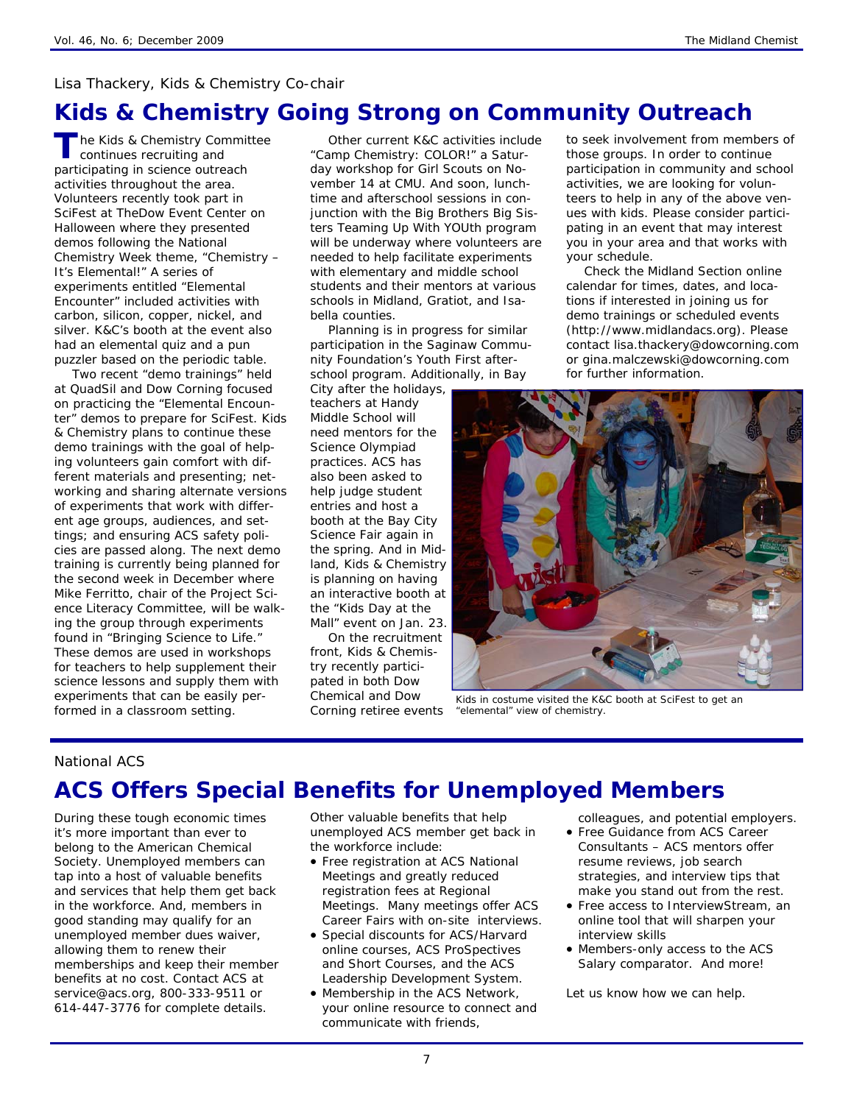### *Lisa Thackery, Kids & Chemistry Co-chair*

## **Kids & Chemistry Going Strong on Community Outreach**

**The Kids & Chemistry Committee** continues recruiting and participating in science outreach activities throughout the area. Volunteers recently took part in SciFest at TheDow Event Center on Halloween where they presented demos following the National Chemistry Week theme, "Chemistry – It's Elemental!" A series of experiments entitled "Elemental Encounter" included activities with carbon, silicon, copper, nickel, and silver. K&C's booth at the event also had an elemental quiz and a pun puzzler based on the periodic table.

Two recent "demo trainings" held at QuadSil and Dow Corning focused on practicing the "Elemental Encounter" demos to prepare for SciFest. Kids & Chemistry plans to continue these demo trainings with the goal of helping volunteers gain comfort with different materials and presenting; networking and sharing alternate versions of experiments that work with different age groups, audiences, and settings; and ensuring ACS safety policies are passed along. The next demo training is currently being planned for the second week in December where Mike Ferritto, chair of the Project Science Literacy Committee, will be walking the group through experiments found in "Bringing Science to Life." These demos are used in workshops for teachers to help supplement their science lessons and supply them with experiments that can be easily performed in a classroom setting.

Other current K&C activities include "Camp Chemistry: COLOR!" a Saturday workshop for Girl Scouts on November 14 at CMU. And soon, lunchtime and afterschool sessions in conjunction with the Big Brothers Big Sisters Teaming Up With YOUth program will be underway where volunteers are needed to help facilitate experiments with elementary and middle school students and their mentors at various schools in Midland, Gratiot, and Isabella counties.

Planning is in progress for similar participation in the Saginaw Community Foundation's Youth First afterschool program. Additionally, in Bay

City after the holidays, teachers at Handy Middle School will need mentors for the Science Olympiad practices. ACS has also been asked to help judge student entries and host a booth at the Bay City Science Fair again in the spring. And in Midland, Kids & Chemistry is planning on having an interactive booth at the "Kids Day at the Mall" event on Jan. 23.

On the recruitment front, Kids & Chemistry recently participated in both Dow Chemical and Dow Corning retiree events

to seek involvement from members of those groups. In order to continue participation in community and school activities, we are looking for volunteers to help in any of the above venues with kids. Please consider participating in an event that may interest you in your area and that works with your schedule.

Check the Midland Section online calendar for times, dates, and locations if interested in joining us for demo trainings or scheduled events (http://www.midlandacs.org). Please contact lisa.thackery@dowcorning.com or gina.malczewski@dowcorning.com for further information.



*Kids in costume visited the K&C booth at SciFest to get an "elemental" view of chemistry.* 

### *National ACS*

## **ACS Offers Special Benefits for Unemployed Members**

During these tough economic times it's more important than ever to belong to the American Chemical Society. Unemployed members can tap into a host of valuable benefits and services that help them get back in the workforce. And, members in good standing may qualify for an unemployed member dues waiver, allowing them to renew their memberships and keep their member benefits at no cost. Contact ACS at service@acs.org, 800-333-9511 or 614-447-3776 for complete details.

Other valuable benefits that help unemployed ACS member get back in the workforce include:

- Free registration at ACS National Meetings and greatly reduced registration fees at Regional Meetings. Many meetings offer ACS Career Fairs with on-site interviews.
- Special discounts for ACS/Harvard online courses, ACS ProSpectives and Short Courses, and the ACS Leadership Development System.
- Membership in the ACS Network, your online resource to connect and communicate with friends,

colleagues, and potential employers.

- Free Guidance from ACS Career Consultants – ACS mentors offer resume reviews, job search strategies, and interview tips that make you stand out from the rest.
- Free access to InterviewStream, an online tool that will sharpen your interview skills
- Members-only access to the ACS Salary comparator. And more!

Let us know how we can help.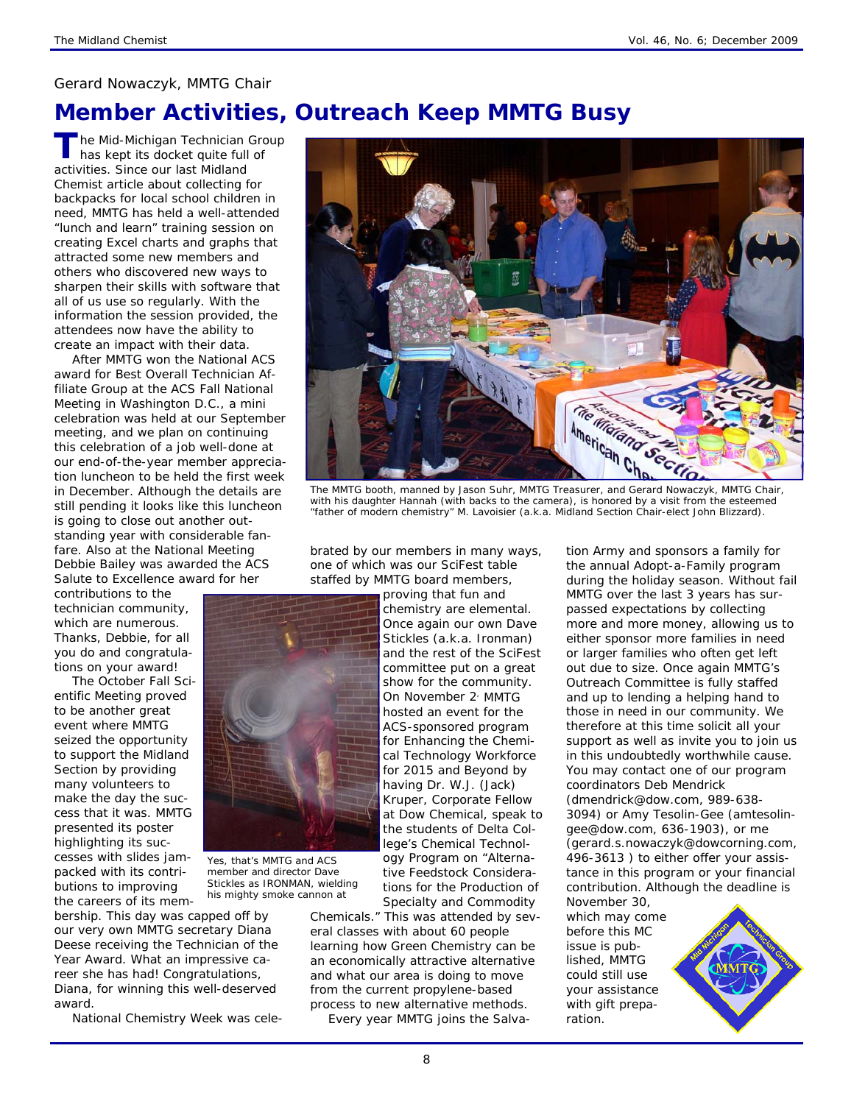### *Gerard Nowaczyk, MMTG Chair*

## **Member Activities, Outreach Keep MMTG Busy**

he Mid-Michigan Technician Group has kept its docket quite full of activities. Since our last Midland Chemist article about collecting for backpacks for local school children in need, MMTG has held a well-attended "lunch and learn" training session on creating Excel charts and graphs that attracted some new members and others who discovered new ways to sharpen their skills with software that all of us use so regularly. With the information the session provided, the attendees now have the ability to create an impact with their data.

After MMTG won the National ACS award for Best Overall Technician Affiliate Group at the ACS Fall National Meeting in Washington D.C., a mini celebration was held at our September meeting, and we plan on continuing this celebration of a job well-done at our end-of-the-year member appreciation luncheon to be held the first week in December. Although the details are still pending it looks like this luncheon is going to close out another outstanding year with considerable fanfare. Also at the National Meeting Debbie Bailey was awarded the ACS Salute to Excellence award for her

contributions to the technician community, which are numerous. Thanks, Debbie, for all you do and congratulations on your award!

The October Fall Scientific Meeting proved to be another great event where MMTG seized the opportunity to support the Midland Section by providing many volunteers to make the day the success that it was. MMTG presented its poster highlighting its successes with slides jampacked with its contributions to improving the careers of its mem-

bership. This day was capped off by our very own MMTG secretary Diana Deese receiving the Technician of the Year Award. What an impressive career she has had! Congratulations, Diana, for winning this well-deserved award.

National Chemistry Week was cele-



*with his daughter Hannah (with backs to the camera), is honored by a visit from the esteemed "father of modern chemistry" M. Lavoisier (a.k.a. Midland Section Chair-elect John Blizzard).* 

brated by our members in many ways, one of which was our SciFest table staffed by MMTG board members,

> proving that fun and chemistry are elemental. Once again our own Dave Stickles (a.k.a. Ironman) and the rest of the SciFest committee put on a great show for the community. On November 2<sup>'</sup> MMTG hosted an event for the ACS-sponsored program for Enhancing the Chemical Technology Workforce for 2015 and Beyond by having Dr. W.J. (Jack) Kruper, Corporate Fellow at Dow Chemical, speak to the students of Delta College's Chemical Technology Program on "Alternative Feedstock Considerations for the Production of

Specialty and Commodity Chemicals." This was attended by several classes with about 60 people learning how Green Chemistry can be an economically attractive alternative and what our area is doing to move from the current propylene-based process to new alternative methods.

Every year MMTG joins the Salva-

tion Army and sponsors a family for the annual Adopt-a-Family program during the holiday season. Without fail MMTG over the last 3 years has surpassed expectations by collecting more and more money, allowing us to either sponsor more families in need or larger families who often get left out due to size. Once again MMTG's Outreach Committee is fully staffed and up to lending a helping hand to those in need in our community. We therefore at this time solicit all your support as well as invite you to join us in this undoubtedly worthwhile cause. You may contact one of our program coordinators Deb Mendrick (dmendrick@dow.com, 989-638- 3094) or Amy Tesolin-Gee (amtesolingee@dow.com, 636-1903), or me (gerard.s.nowaczyk@dowcorning.com, 496-3613 ) to either offer your assistance in this program or your financial contribution. Although the deadline is

November 30, which may come before this MC issue is published, MMTG could still use your assistance with gift preparation.





*Yes, that's MMTG and ACS member and director Dave Stickles as IRONMAN, wielding his mighty smoke cannon at*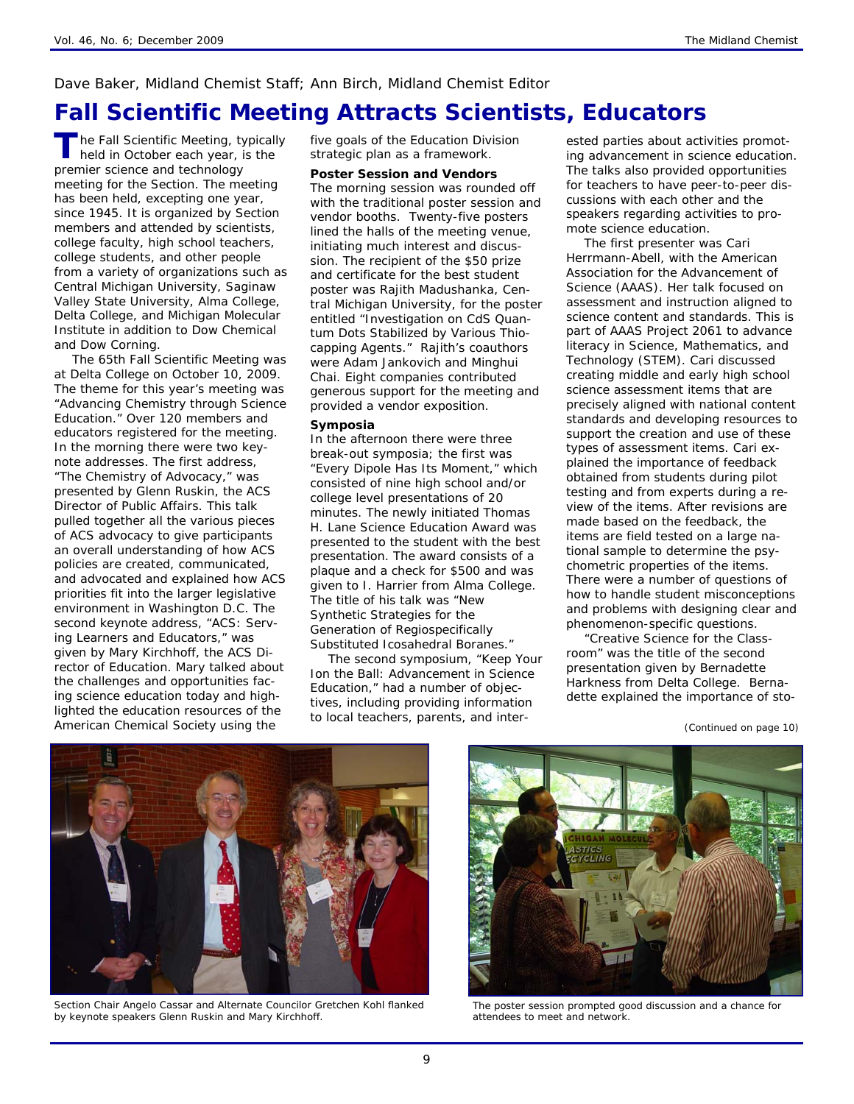### *Dave Baker, Midland Chemist Staff; Ann Birch, Midland Chemist Editor*

## **Fall Scientific Meeting Attracts Scientists, Educators**

**T** he Fall Scientific Meeting, typically held in October each year, is the premier science and technology meeting for the Section. The meeting has been held, excepting one year, since 1945. It is organized by Section members and attended by scientists, college faculty, high school teachers, college students, and other people from a variety of organizations such as Central Michigan University, Saginaw Valley State University, Alma College, Delta College, and Michigan Molecular Institute in addition to Dow Chemical and Dow Corning.

The 65th Fall Scientific Meeting was at Delta College on October 10, 2009. The theme for this year's meeting was "Advancing Chemistry through Science Education." Over 120 members and educators registered for the meeting. In the morning there were two keynote addresses. The first address, "The Chemistry of Advocacy," was presented by Glenn Ruskin, the ACS Director of Public Affairs. This talk pulled together all the various pieces of ACS advocacy to give participants an overall understanding of how ACS policies are created, communicated, and advocated and explained how ACS priorities fit into the larger legislative environment in Washington D.C. The second keynote address, "ACS: Serving Learners and Educators," was given by Mary Kirchhoff, the ACS Director of Education. Mary talked about the challenges and opportunities facing science education today and highlighted the education resources of the American Chemical Society using the

five goals of the Education Division strategic plan as a framework.

#### **Poster Session and Vendors**

The morning session was rounded off with the traditional poster session and vendor booths. Twenty-five posters lined the halls of the meeting venue, initiating much interest and discussion. The recipient of the \$50 prize and certificate for the best student poster was Rajith Madushanka, Central Michigan University, for the poster entitled "Investigation on CdS Quantum Dots Stabilized by Various Thiocapping Agents." Rajith's coauthors were Adam Jankovich and Minghui Chai. Eight companies contributed generous support for the meeting and provided a vendor exposition.

#### **Symposia**

In the afternoon there were three break-out symposia; the first was "Every Dipole Has Its Moment," which consisted of nine high school and/or college level presentations of 20 minutes. The newly initiated Thomas H. Lane Science Education Award was presented to the student with the best presentation. The award consists of a plaque and a check for \$500 and was given to I. Harrier from Alma College. The title of his talk was "New Synthetic Strategies for the Generation of Regiospecifically Substituted Icosahedral Boranes."

The second symposium, "Keep Your Ion the Ball: Advancement in Science Education," had a number of objectives, including providing information to local teachers, parents, and interested parties about activities promoting advancement in science education. The talks also provided opportunities for teachers to have peer-to-peer discussions with each other and the speakers regarding activities to promote science education.

The first presenter was Cari Herrmann-Abell, with the American Association for the Advancement of Science (AAAS). Her talk focused on assessment and instruction aligned to science content and standards. This is part of AAAS Project 2061 to advance literacy in Science, Mathematics, and Technology (STEM). Cari discussed creating middle and early high school science assessment items that are precisely aligned with national content standards and developing resources to support the creation and use of these types of assessment items. Cari explained the importance of feedback obtained from students during pilot testing and from experts during a review of the items. After revisions are made based on the feedback, the items are field tested on a large national sample to determine the psychometric properties of the items. There were a number of questions of how to handle student misconceptions and problems with designing clear and phenomenon-specific questions.

"Creative Science for the Classroom" was the title of the second presentation given by Bernadette Harkness from Delta College. Bernadette explained the importance of sto-



*Section Chair Angelo Cassar and Alternate Councilor Gretchen Kohl flanked by keynote speakers Glenn Ruskin and Mary Kirchhoff.* 



*The poster session prompted good discussion and a chance for attendees to meet and network.* 

*<sup>(</sup>Continued on page 10)*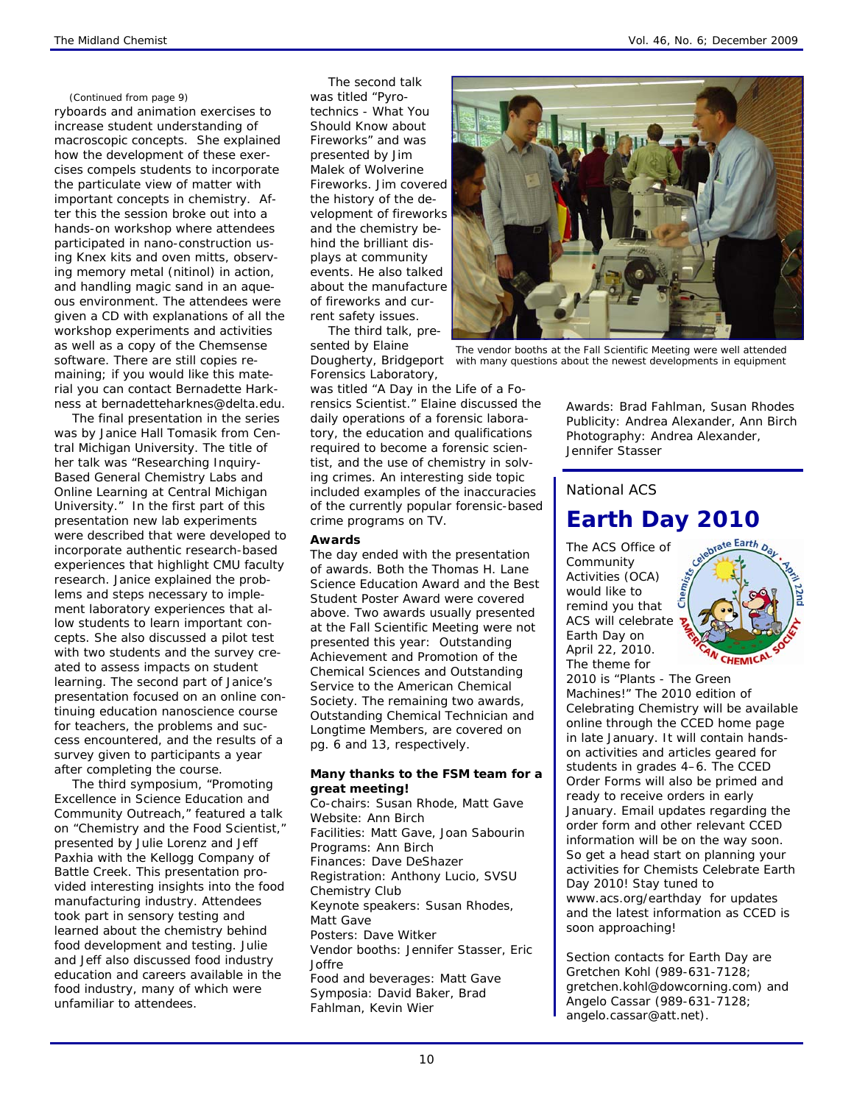#### *(Continued from page 9)*

ryboards and animation exercises to increase student understanding of macroscopic concepts. She explained how the development of these exercises compels students to incorporate the particulate view of matter with important concepts in chemistry. After this the session broke out into a hands-on workshop where attendees participated in nano-construction using Knex kits and oven mitts, observing memory metal (nitinol) in action, and handling magic sand in an aqueous environment. The attendees were given a CD with explanations of all the workshop experiments and activities as well as a copy of the Chemsense software. There are still copies remaining; if you would like this material you can contact Bernadette Harkness at bernadetteharknes@delta.edu.

The final presentation in the series was by Janice Hall Tomasik from Central Michigan University. The title of her talk was "Researching Inquiry-Based General Chemistry Labs and Online Learning at Central Michigan University." In the first part of this presentation new lab experiments were described that were developed to incorporate authentic research-based experiences that highlight CMU faculty research. Janice explained the problems and steps necessary to implement laboratory experiences that allow students to learn important concepts. She also discussed a pilot test with two students and the survey created to assess impacts on student learning. The second part of Janice's presentation focused on an online continuing education nanoscience course for teachers, the problems and success encountered, and the results of a survey given to participants a year after completing the course.

The third symposium, "Promoting Excellence in Science Education and Community Outreach," featured a talk on "Chemistry and the Food Scientist," presented by Julie Lorenz and Jeff Paxhia with the Kellogg Company of Battle Creek. This presentation provided interesting insights into the food manufacturing industry. Attendees took part in sensory testing and learned about the chemistry behind food development and testing. Julie and Jeff also discussed food industry education and careers available in the food industry, many of which were unfamiliar to attendees.

The second talk was titled "Pyrotechnics - What You Should Know about Fireworks" and was presented by Jim Malek of Wolverine Fireworks. Jim covered the history of the development of fireworks and the chemistry behind the brilliant displays at community events. He also talked about the manufacture of fireworks and current safety issues.

The third talk, presented by Elaine Dougherty, Bridgeport Forensics Laboratory,

was titled "A Day in the Life of a Forensics Scientist." Elaine discussed the daily operations of a forensic laboratory, the education and qualifications required to become a forensic scientist, and the use of chemistry in solving crimes. An interesting side topic included examples of the inaccuracies of the currently popular forensic-based crime programs on TV.

#### **Awards**

The day ended with the presentation of awards. Both the Thomas H. Lane Science Education Award and the Best Student Poster Award were covered above. Two awards usually presented at the Fall Scientific Meeting were not presented this year: Outstanding Achievement and Promotion of the Chemical Sciences and Outstanding Service to the American Chemical Society. The remaining two awards, Outstanding Chemical Technician and Longtime Members, are covered on pg. 6 and 13, respectively.

### **Many thanks to the FSM team for a great meeting!**

*Co-chairs:* Susan Rhode, Matt Gave *Website:* Ann Birch *Facilities:* Matt Gave, Joan Sabourin Programs: Ann Birch *Finances:* Dave DeShazer *Registration:* Anthony Lucio, SVSU Chemistry Club *Keynote speakers:* Susan Rhodes, Matt Gave *Posters:* Dave Witker *Vendor booths:* Jennifer Stasser, Eric Joffre *Food and beverages:* Matt Gave *Symposia:* David Baker, Brad Fahlman, Kevin Wier



*The vendor booths at the Fall Scientific Meeting were well attended with many questions about the newest developments in equipment* 

*Awards:* Brad Fahlman, Susan Rhodes *Publicity:* Andrea Alexander, Ann Birch *Photography:* Andrea Alexander, Jennifer Stasser

### *National ACS*

## **Earth Day 2010**

The ACS Office of Community Activities (OCA) would like to remind you that ACS will celebrate Earth Day on April 22, 2010. The theme for



2010 is "Plants - The Green Machines!" The 2010 edition of *Celebrating Chemistry* will be available online through the CCED home page in late January. It will contain handson activities and articles geared for students in grades 4–6. The CCED Order Forms will also be primed and ready to receive orders in early January. Email updates regarding the order form and other relevant CCED information will be on the way soon. So get a head start on planning your activities for Chemists Celebrate Earth Day 2010! Stay tuned to www.acs.org/earthday for updates and the latest information as CCED is soon approaching!

*Section contacts for Earth Day are Gretchen Kohl (989-631-7128; gretchen.kohl@dowcorning.com) and Angelo Cassar (989-631-7128; angelo.cassar@att.net).*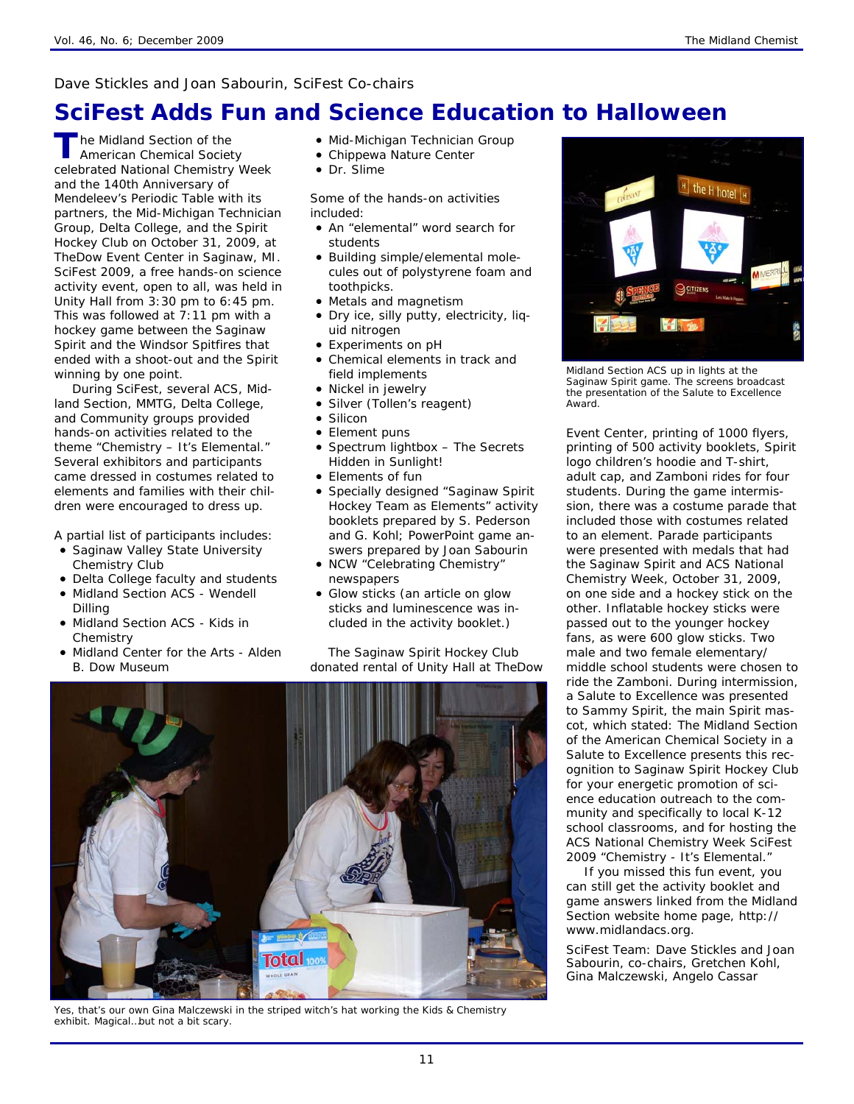### *Dave Stickles and Joan Sabourin, SciFest Co-chairs*

# **SciFest Adds Fun and Science Education to Halloween**

**The Midland Section of the** American Chemical Society celebrated National Chemistry Week and the 140th Anniversary of Mendeleev's Periodic Table with its partners, the Mid-Michigan Technician Group, Delta College, and the Spirit Hockey Club on October 31, 2009, at TheDow Event Center in Saginaw, MI. SciFest 2009, a free hands-on science activity event, open to all, was held in Unity Hall from 3:30 pm to 6:45 pm. This was followed at 7:11 pm with a hockey game between the Saginaw Spirit and the Windsor Spitfires that ended with a shoot-out and the Spirit winning by one point.

During SciFest, several ACS, Midland Section, MMTG, Delta College, and Community groups provided hands-on activities related to the theme "Chemistry – It's Elemental." Several exhibitors and participants came dressed in costumes related to elements and families with their children were encouraged to dress up.

A partial list of participants includes:

- Saginaw Valley State University Chemistry Club
- Delta College faculty and students
- Midland Section ACS Wendell Dilling
- Midland Section ACS Kids in **Chemistry**
- Midland Center for the Arts Alden B. Dow Museum
- Mid-Michigan Technician Group
- Chippewa Nature Center
- Dr. Slime

Some of the hands-on activities included:

- An "elemental" word search for students
- Building simple/elemental molecules out of polystyrene foam and toothpicks.
- Metals and magnetism
- Dry ice, silly putty, electricity, liquid nitrogen
- Experiments on pH
- Chemical elements in track and field implements
- Nickel in jewelry
- Silver (Tollen's reagent)
- Silicon
- Element puns
- Spectrum lightbox The Secrets Hidden in Sunlight!
- Elements of fun
- Specially designed "Saginaw Spirit Hockey Team as Elements" activity booklets prepared by S. Pederson and G. Kohl; PowerPoint game answers prepared by Joan Sabourin
- NCW "Celebrating Chemistry" newspapers
- Glow sticks (an article on glow sticks and luminescence was included in the activity booklet.)

The Saginaw Spirit Hockey Club donated rental of Unity Hall at TheDow



*Yes, that's our own Gina Malczewski in the striped witch's hat working the Kids & Chemistry exhibit. Magical…but not a bit scary.* 



*Midland Section ACS up in lights at the Saginaw Spirit game. The screens broadcast the presentation of the Salute to Excellence Award.* 

Event Center, printing of 1000 flyers, printing of 500 activity booklets, Spirit logo children's hoodie and T-shirt, adult cap, and Zamboni rides for four students. During the game intermission, there was a costume parade that included those with costumes related to an element. Parade participants were presented with medals that had the Saginaw Spirit and ACS National Chemistry Week, October 31, 2009, on one side and a hockey stick on the other. Inflatable hockey sticks were passed out to the younger hockey fans, as were 600 glow sticks. Two male and two female elementary/ middle school students were chosen to ride the Zamboni. During intermission, a Salute to Excellence was presented to Sammy Spirit, the main Spirit mascot, which stated: The Midland Section of the American Chemical Society in a Salute to Excellence presents this recognition to Saginaw Spirit Hockey Club for your energetic promotion of science education outreach to the community and specifically to local K-12 school classrooms, and for hosting the ACS National Chemistry Week SciFest 2009 "Chemistry - It's Elemental."

If you missed this fun event, you can still get the activity booklet and game answers linked from the Midland Section website home page, http:// www.midlandacs.org.

*SciFest Team: Dave Stickles and Joan Sabourin, co-chairs, Gretchen Kohl, Gina Malczewski, Angelo Cassar*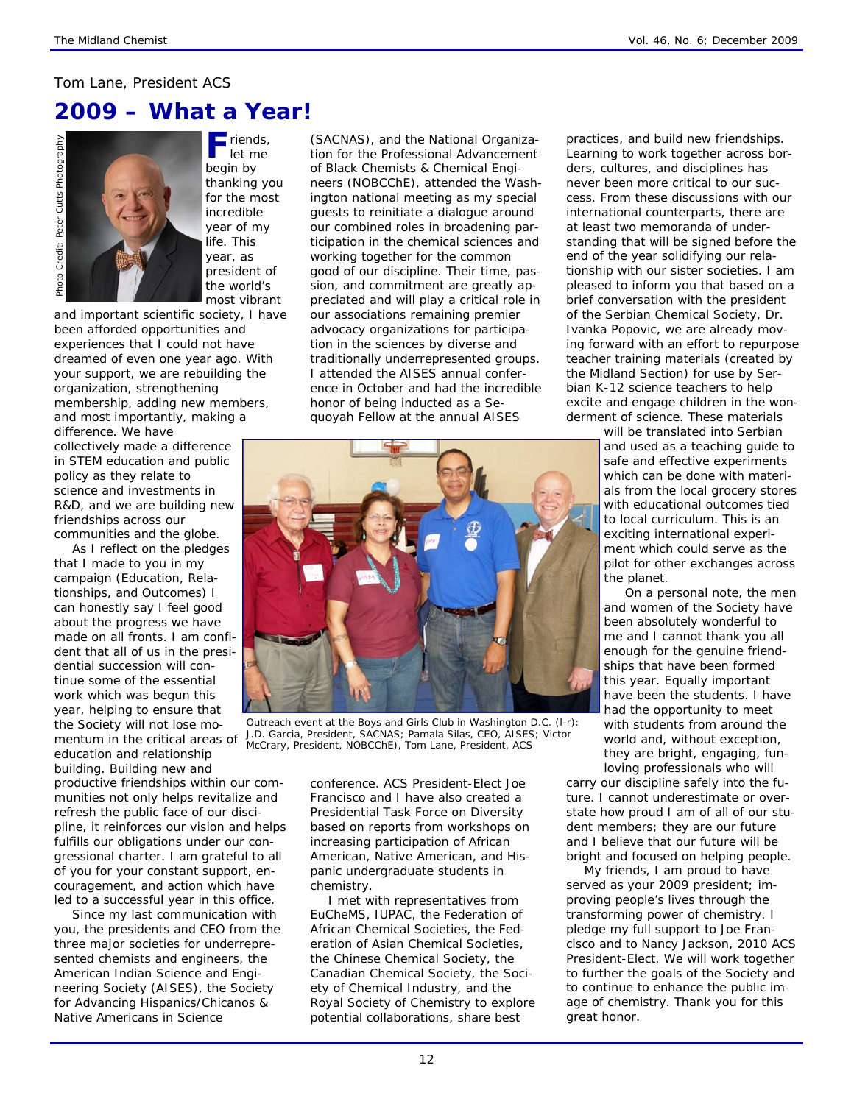### *Tom Lane, President ACS*

## **2009 – What a Year!**

Photo Credit: Peter Cutts Photography Cutts Photography Peter Photo Credit:

**F** riends, let me begin by thanking you for the most incredible year of my life. This year, as president of the world's most vibrant

and important scientific society, I have been afforded opportunities and experiences that I could not have dreamed of even one year ago. With your support, we are rebuilding the organization, strengthening membership, adding new members, and most importantly, making a difference. We have

collectively made a difference in STEM education and public policy as they relate to science and investments in R&D, and we are building new friendships across our communities and the globe.

As I reflect on the pledges that I made to you in my campaign (Education, Relationships, and Outcomes) I can honestly say I feel good about the progress we have made on all fronts. I am confident that all of us in the presidential succession will continue some of the essential work which was begun this year, helping to ensure that the Society will not lose momentum in the critical areas of education and relationship building. Building new and

productive friendships within our communities not only helps revitalize and refresh the public face of our discipline, it reinforces our vision and helps fulfills our obligations under our congressional charter. I am grateful to all of you for your constant support, encouragement, and action which have led to a successful year in this office.

Since my last communication with you, the presidents and CEO from the three major societies for underrepresented chemists and engineers, the American Indian Science and Engineering Society (AISES), the Society for Advancing Hispanics/Chicanos & Native Americans in Science

(SACNAS), and the National Organization for the Professional Advancement of Black Chemists & Chemical Engineers (NOBCChE), attended the Washington national meeting as my special guests to reinitiate a dialogue around our combined roles in broadening participation in the chemical sciences and working together for the common good of our discipline. Their time, passion, and commitment are greatly appreciated and will play a critical role in our associations remaining premier advocacy organizations for participation in the sciences by diverse and traditionally underrepresented groups. I attended the AISES annual conference in October and had the incredible honor of being inducted as a Sequoyah Fellow at the annual AISES



*Outreach event at the Boys and Girls Club in Washington D.C. (l-r): J.D. Garcia, President, SACNAS; Pamala Silas, CEO, AISES; Victor McCrary, President, NOBCChE), Tom Lane, President, ACS* 

conference. ACS President-Elect Joe Francisco and I have also created a Presidential Task Force on Diversity based on reports from workshops on increasing participation of African American, Native American, and Hispanic undergraduate students in chemistry.

I met with representatives from EuCheMS, IUPAC, the Federation of African Chemical Societies, the Federation of Asian Chemical Societies, the Chinese Chemical Society, the Canadian Chemical Society, the Society of Chemical Industry, and the Royal Society of Chemistry to explore potential collaborations, share best

practices, and build new friendships. Learning to work together across borders, cultures, and disciplines has never been more critical to our success. From these discussions with our international counterparts, there are at least two memoranda of understanding that will be signed before the end of the year solidifying our relationship with our sister societies. I am pleased to inform you that based on a brief conversation with the president of the Serbian Chemical Society, Dr. Ivanka Popovic, we are already moving forward with an effort to repurpose teacher training materials (created by the Midland Section) for use by Serbian K-12 science teachers to help excite and engage children in the wonderment of science. These materials

> will be translated into Serbian and used as a teaching guide to safe and effective experiments which can be done with materials from the local grocery stores with educational outcomes tied to local curriculum. This is an exciting international experiment which could serve as the pilot for other exchanges across the planet.

> On a personal note, the men and women of the Society have been absolutely wonderful to me and I cannot thank you all enough for the genuine friendships that have been formed this year. Equally important have been the students. I have had the opportunity to meet with students from around the world and, without exception, they are bright, engaging, funloving professionals who will

carry our discipline safely into the future. I cannot underestimate or overstate how proud I am of all of our student members; they are our future and I believe that our future will be bright and focused on helping people.

My friends, I am proud to have served as your 2009 president; improving people's lives through the transforming power of chemistry. I pledge my full support to Joe Francisco and to Nancy Jackson, 2010 ACS President-Elect. We will work together to further the goals of the Society and to continue to enhance the public image of chemistry. Thank you for this great honor.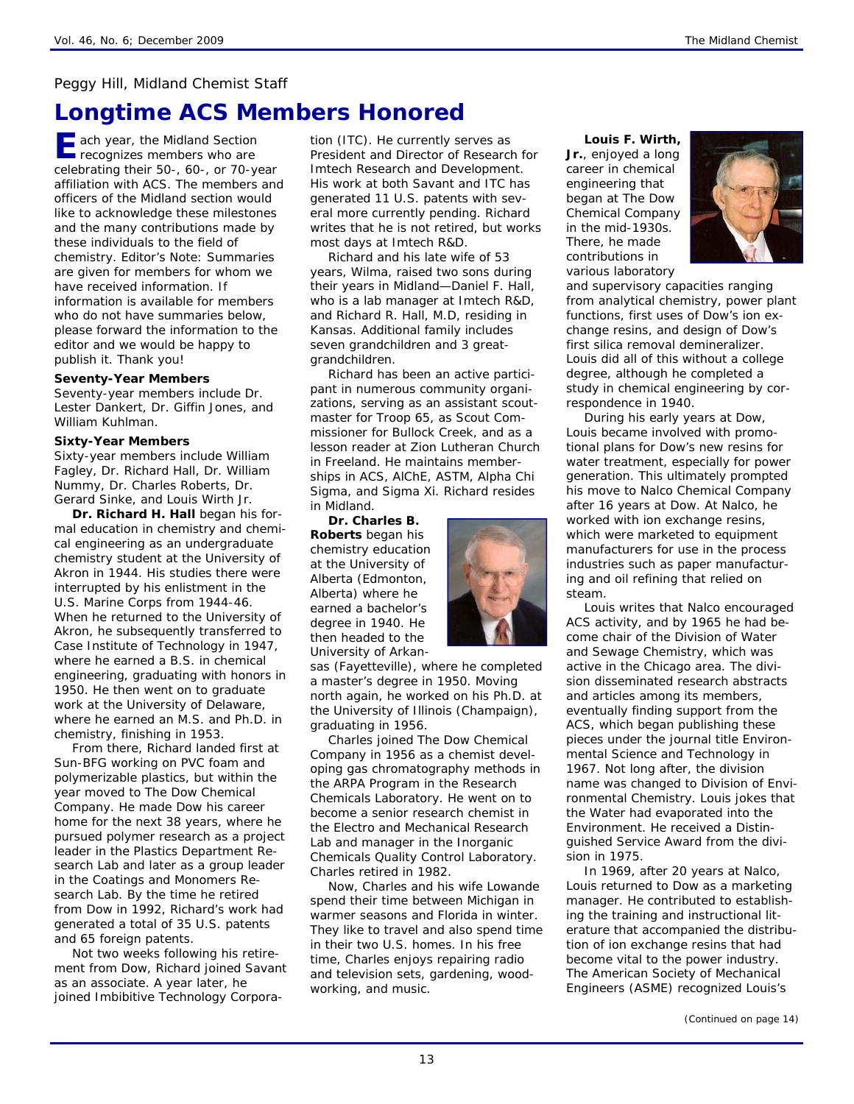### *Peggy Hill, Midland Chemist Staff*

## **Longtime ACS Members Honored**

**E** ach year, the Midland Section recognizes members who are celebrating their 50-, 60-, or 70-year affiliation with ACS. The members and officers of the Midland section would like to acknowledge these milestones and the many contributions made by these individuals to the field of chemistry. *Editor's Note: Summaries are given for members for whom we have received information. If information is available for members who do not have summaries below, please forward the information to the editor and we would be happy to publish it. Thank you!* 

#### **Seventy-Year Members**

Seventy-year members include Dr. Lester Dankert, Dr. Giffin Jones, and William Kuhlman.

#### **Sixty-Year Members**

Sixty-year members include William Fagley, Dr. Richard Hall, Dr. William Nummy, Dr. Charles Roberts, Dr. Gerard Sinke, and Louis Wirth Jr.

**Dr. Richard H. Hall** began his formal education in chemistry and chemical engineering as an undergraduate chemistry student at the University of Akron in 1944. His studies there were interrupted by his enlistment in the U.S. Marine Corps from 1944-46. When he returned to the University of Akron, he subsequently transferred to Case Institute of Technology in 1947, where he earned a B.S. in chemical engineering, graduating with honors in 1950. He then went on to graduate work at the University of Delaware, where he earned an M.S. and Ph.D. in chemistry, finishing in 1953.

From there, Richard landed first at Sun-BFG working on PVC foam and polymerizable plastics, but within the year moved to The Dow Chemical Company. He made Dow his career home for the next 38 years, where he pursued polymer research as a project leader in the Plastics Department Research Lab and later as a group leader in the Coatings and Monomers Research Lab. By the time he retired from Dow in 1992, Richard's work had generated a total of 35 U.S. patents and 65 foreign patents.

Not two weeks following his retirement from Dow, Richard joined Savant as an associate. A year later, he joined Imbibitive Technology Corporation (ITC). He currently serves as President and Director of Research for Imtech Research and Development. His work at both Savant and ITC has generated 11 U.S. patents with several more currently pending. Richard writes that he is not retired, but works most days at Imtech R&D.

Richard and his late wife of 53 years, Wilma, raised two sons during their years in Midland—Daniel F. Hall, who is a lab manager at Imtech R&D, and Richard R. Hall, M.D, residing in Kansas. Additional family includes seven grandchildren and 3 greatgrandchildren.

Richard has been an active participant in numerous community organizations, serving as an assistant scoutmaster for Troop 65, as Scout Commissioner for Bullock Creek, and as a lesson reader at Zion Lutheran Church in Freeland. He maintains memberships in ACS, AlChE, ASTM, Alpha Chi Sigma, and Sigma Xi. Richard resides in Midland.

**Dr. Charles B. Roberts** began his chemistry education at the University of Alberta (Edmonton, Alberta) where he earned a bachelor's degree in 1940. He then headed to the University of Arkan-

sas (Fayetteville), where he completed a master's degree in 1950. Moving north again, he worked on his Ph.D. at the University of Illinois (Champaign), graduating in 1956.

Charles joined The Dow Chemical Company in 1956 as a chemist developing gas chromatography methods in the ARPA Program in the Research Chemicals Laboratory. He went on to become a senior research chemist in the Electro and Mechanical Research Lab and manager in the Inorganic Chemicals Quality Control Laboratory. Charles retired in 1982.

Now, Charles and his wife Lowande spend their time between Michigan in warmer seasons and Florida in winter. They like to travel and also spend time in their two U.S. homes. In his free time, Charles enjoys repairing radio and television sets, gardening, woodworking, and music.

## **Louis F. Wirth,**

**Jr.**, enjoyed a long career in chemical engineering that began at The Dow Chemical Company in the mid-1930s. There, he made contributions in various laboratory



and supervisory capacities ranging from analytical chemistry, power plant functions, first uses of Dow's ion exchange resins, and design of Dow's first silica removal demineralizer. Louis did all of this without a college degree, although he completed a study in chemical engineering by correspondence in 1940.

During his early years at Dow, Louis became involved with promotional plans for Dow's new resins for water treatment, especially for power generation. This ultimately prompted his move to Nalco Chemical Company after 16 years at Dow. At Nalco, he worked with ion exchange resins, which were marketed to equipment manufacturers for use in the process industries such as paper manufacturing and oil refining that relied on steam.

Louis writes that Nalco encouraged ACS activity, and by 1965 he had become chair of the Division of Water and Sewage Chemistry, which was active in the Chicago area. The division disseminated research abstracts and articles among its members, eventually finding support from the ACS, which began publishing these pieces under the journal title *Environmental Science and Technology* in 1967. Not long after, the division name was changed to Division of Environmental Chemistry. Louis jokes that the Water had evaporated into the Environment. He received a Distinguished Service Award from the division in 1975.

In 1969, after 20 years at Nalco, Louis returned to Dow as a marketing manager. He contributed to establishing the training and instructional literature that accompanied the distribution of ion exchange resins that had become vital to the power industry. The American Society of Mechanical Engineers (ASME) recognized Louis's

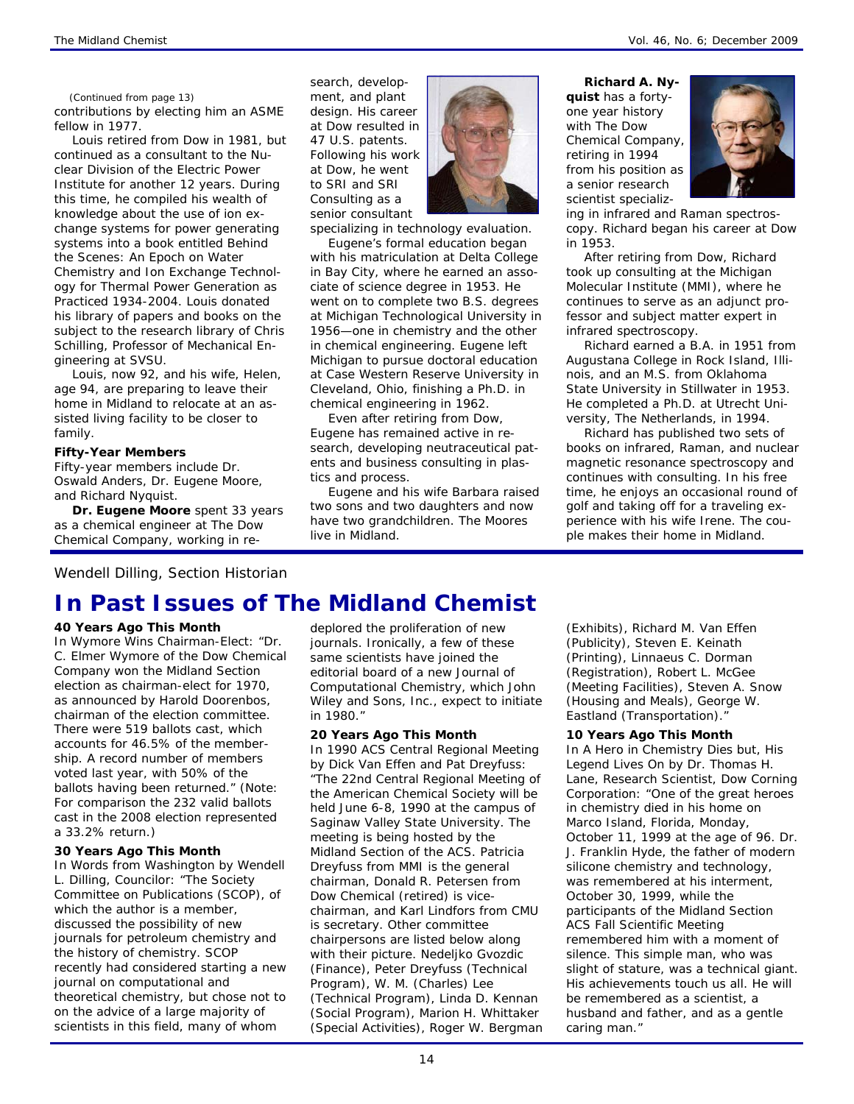#### *(Continued from page 13)*

contributions by electing him an ASME fellow in 1977.

Louis retired from Dow in 1981, but continued as a consultant to the Nuclear Division of the Electric Power Institute for another 12 years. During this time, he compiled his wealth of knowledge about the use of ion exchange systems for power generating systems into a book entitled Behind the Scenes: An Epoch on Water Chemistry and Ion Exchange Technology for Thermal Power Generation as Practiced 1934-2004. Louis donated his library of papers and books on the subject to the research library of Chris Schilling, Professor of Mechanical Engineering at SVSU.

Louis, now 92, and his wife, Helen, age 94, are preparing to leave their home in Midland to relocate at an assisted living facility to be closer to family.

#### **Fifty-Year Members**

Fifty-year members include Dr. Oswald Anders, Dr. Eugene Moore, and Richard Nyquist.

**Dr. Eugene Moore** spent 33 years as a chemical engineer at The Dow Chemical Company, working in research, development, and plant design. His career at Dow resulted in 47 U.S. patents. Following his work at Dow, he went to SRI and SRI Consulting as a senior consultant



specializing in technology evaluation.

Eugene's formal education began with his matriculation at Delta College in Bay City, where he earned an associate of science degree in 1953. He went on to complete two B.S. degrees at Michigan Technological University in 1956—one in chemistry and the other in chemical engineering. Eugene left Michigan to pursue doctoral education at Case Western Reserve University in Cleveland, Ohio, finishing a Ph.D. in chemical engineering in 1962.

Even after retiring from Dow, Eugene has remained active in research, developing neutraceutical patents and business consulting in plastics and process.

Eugene and his wife Barbara raised two sons and two daughters and now have two grandchildren. The Moores live in Midland.

**Richard A. Ny-**

**quist** has a fortyone year history with The Dow Chemical Company, retiring in 1994 from his position as a senior research scientist specializ-



ing in infrared and Raman spectroscopy. Richard began his career at Dow in 1953.

After retiring from Dow, Richard took up consulting at the Michigan Molecular Institute (MMI), where he continues to serve as an adjunct professor and subject matter expert in infrared spectroscopy.

Richard earned a B.A. in 1951 from Augustana College in Rock Island, Illinois, and an M.S. from Oklahoma State University in Stillwater in 1953. He completed a Ph.D. at Utrecht University, The Netherlands, in 1994.

Richard has published two sets of books on infrared, Raman, and nuclear magnetic resonance spectroscopy and continues with consulting. In his free time, he enjoys an occasional round of golf and taking off for a traveling experience with his wife Irene. The couple makes their home in Midland.

*Wendell Dilling, Section Historian* 

## **In Past Issues of** *The Midland Chemist*

#### **40 Years Ago This Month**

In *Wymore Wins Chairman-Elect*: "Dr. C. Elmer Wymore of the Dow Chemical Company won the Midland Section election as chairman-elect for 1970, as announced by Harold Doorenbos, chairman of the election committee. There were 519 ballots cast, which accounts for 46.5% of the membership. A record number of members voted last year, with 50% of the ballots having been returned." (Note: For comparison the 232 valid ballots cast in the 2008 election represented a 33.2% return.)

#### **30 Years Ago This Month**

In *Words from Washington* by Wendell L. Dilling, Councilor: "The Society Committee on Publications (SCOP), of which the author is a member, discussed the possibility of new journals for petroleum chemistry and the history of chemistry. SCOP recently had considered starting a new journal on computational and theoretical chemistry, but chose not to on the advice of a large majority of scientists in this field, many of whom

deplored the proliferation of new journals. Ironically, a few of these same scientists have joined the editorial board of a new *Journal of Computational Chemistry*, which John Wiley and Sons, Inc., expect to initiate in 1980."

#### **20 Years Ago This Month**

In *1990 ACS Central Regional Meeting* by Dick Van Effen and Pat Dreyfuss: "The 22nd Central Regional Meeting of the American Chemical Society will be held June 6-8, 1990 at the campus of Saginaw Valley State University. The meeting is being hosted by the Midland Section of the ACS. Patricia Dreyfuss from MMI is the general chairman, Donald R. Petersen from Dow Chemical (retired) is vicechairman, and Karl Lindfors from CMU is secretary. Other committee chairpersons are listed below along with their picture. Nedeljko Gvozdic (Finance), Peter Dreyfuss (Technical Program), W. M. (Charles) Lee (Technical Program), Linda D. Kennan (Social Program), Marion H. Whittaker (Special Activities), Roger W. Bergman

(Exhibits), Richard M. Van Effen (Publicity), Steven E. Keinath (Printing), Linnaeus C. Dorman (Registration), Robert L. McGee (Meeting Facilities), Steven A. Snow (Housing and Meals), George W. Eastland (Transportation)."

#### **10 Years Ago This Month**

In *A Hero in Chemistry Dies but, His Legend Lives On* by Dr. Thomas H. Lane, Research Scientist, Dow Corning Corporation: "One of the great heroes in chemistry died in his home on Marco Island, Florida, Monday, October 11, 1999 at the age of 96. Dr. J. Franklin Hyde, the father of modern silicone chemistry and technology, was remembered at his interment, October 30, 1999, while the participants of the Midland Section ACS Fall Scientific Meeting remembered him with a moment of silence. This simple man, who was slight of stature, was a technical giant. His achievements touch us all. He will be remembered as a scientist, a husband and father, and as a gentle caring man."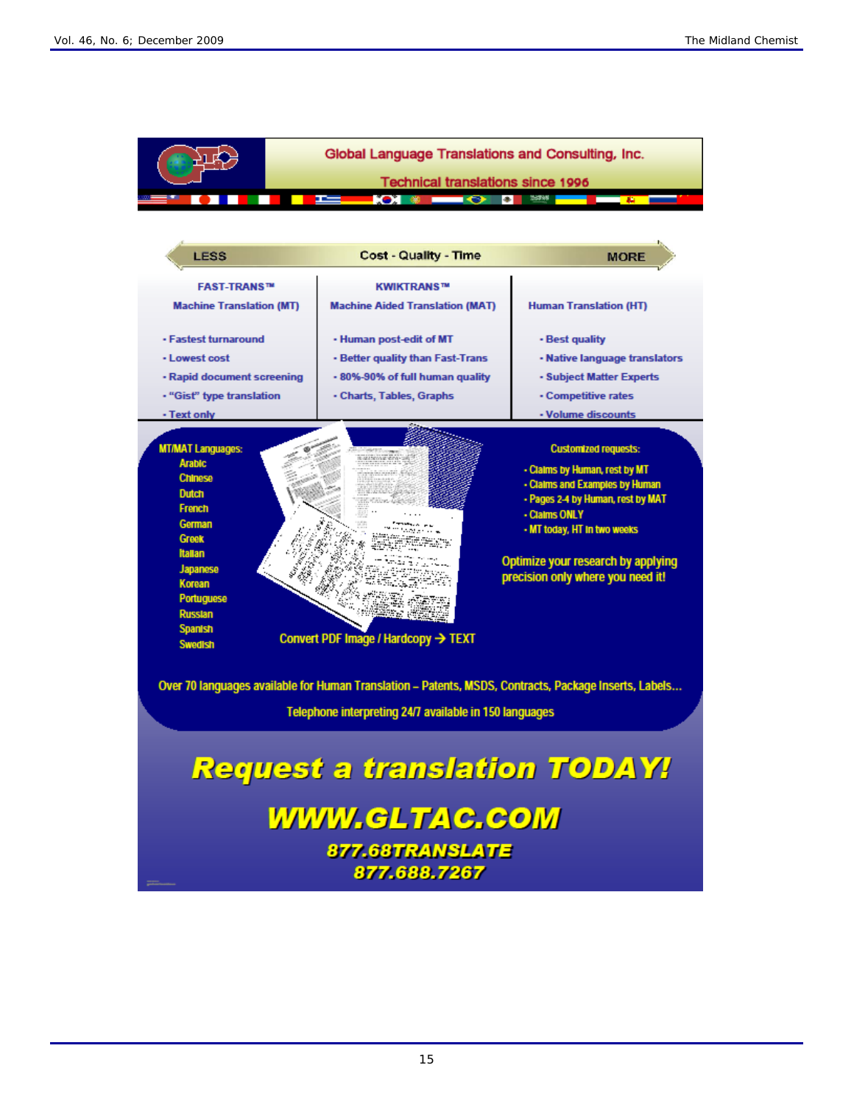